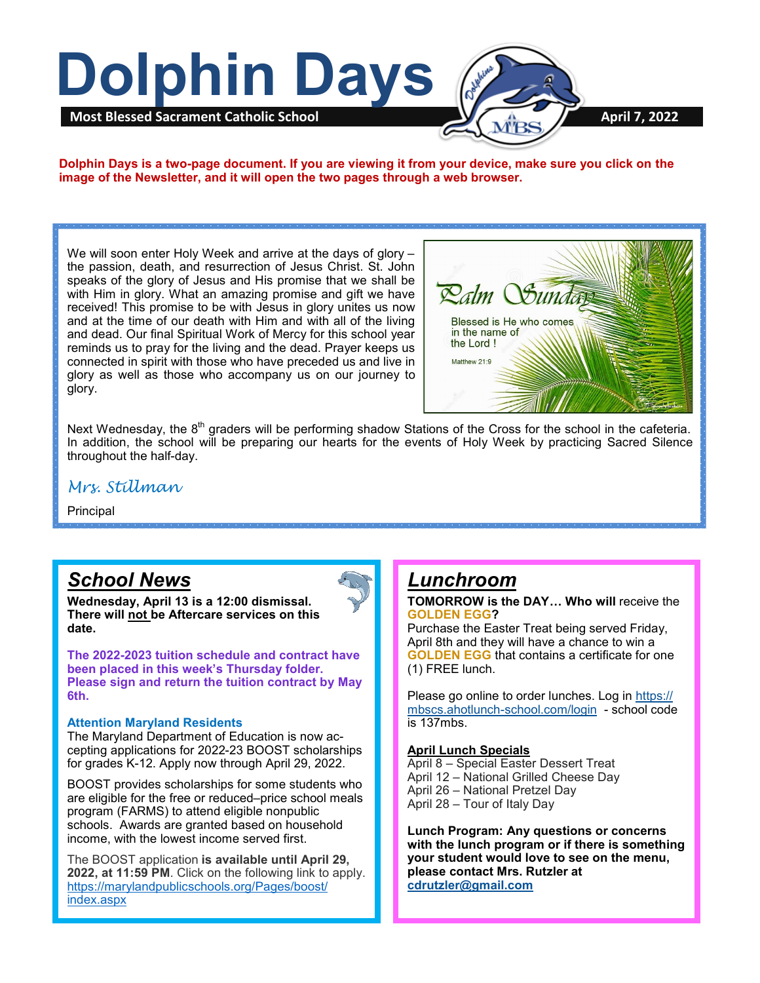

**Dolphin Days is a two-page document. If you are viewing it from your device, make sure you click on the image of the Newsletter, and it will open the two pages through a web browser.**

We will soon enter Holy Week and arrive at the days of glory – the passion, death, and resurrection of Jesus Christ. St. John speaks of the glory of Jesus and His promise that we shall be with Him in glory. What an amazing promise and gift we have received! This promise to be with Jesus in glory unites us now and at the time of our death with Him and with all of the living and dead. Our final Spiritual Work of Mercy for this school year reminds us to pray for the living and the dead. Prayer keeps us connected in spirit with those who have preceded us and live in glory as well as those who accompany us on our journey to glory.



Next Wednesday, the 8<sup>th</sup> graders will be performing shadow Stations of the Cross for the school in the cafeteria. In addition, the school will be preparing our hearts for the events of Holy Week by practicing Sacred Silence throughout the half-day.

### *Mrs. Stillman*

Principal

# *School News*

**Wednesday, April 13 is a 12:00 dismissal. There will not be Aftercare services on this date.**



### **Attention Maryland Residents**

The Maryland Department of Education is now accepting applications for 2022-23 BOOST scholarships for grades K-12. Apply now through April 29, 2022.

BOOST provides scholarships for some students who are eligible for the free or reduced–price school meals program (FARMS) to attend eligible nonpublic schools. Awards are granted based on household income, with the lowest income served first.

The BOOST application **is available until April 29, 2022, at 11:59 PM**. Click on the following link to apply. [https://marylandpublicschools.org/Pages/boost/](https://marylandpublicschools.org/Pages/boost/index.aspx) [index.aspx](https://marylandpublicschools.org/Pages/boost/index.aspx)

### *Lunchroom*

**TOMORROW is the DAY… Who will** receive the **GOLDEN EGG?**

Purchase the Easter Treat being served Friday, April 8th and they will have a chance to win a **GOLDEN EGG** that contains a certificate for one (1) FREE lunch.

Please go online to order lunches. Log in [https://](https://mbscs.ahotlunch-school.com/login) mbscs.ahotlunch-[school.com/login](https://mbscs.ahotlunch-school.com/login) - school code is 137mbs.

#### **April Lunch Specials**

April 8 – Special Easter Dessert Treat April 12 – National Grilled Cheese Day April 26 – National Pretzel Day April 28 – Tour of Italy Day

**Lunch Program: Any questions or concerns with the lunch program or if there is something your student would love to see on the menu, please contact Mrs. Rutzler at [cdrutzler@gmail.com](mailto:cdrutzler@gmail.com)**